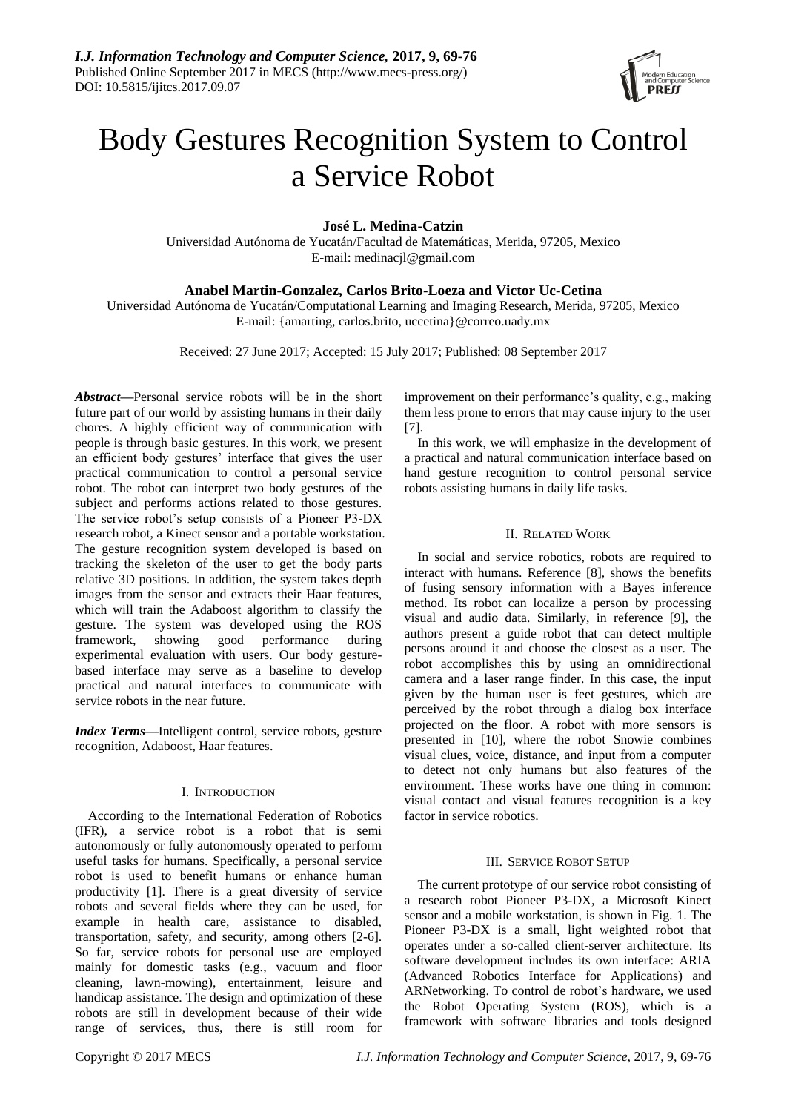

# Body Gestures Recognition System to Control a Service Robot

**José L. Medina-Catzin**

Universidad Autónoma de Yucatán/Facultad de Matemáticas, Merida, 97205, Mexico E-mail: medinacjl@gmail.com

# **Anabel Martin-Gonzalez, Carlos Brito-Loeza and Victor Uc-Cetina**

Universidad Autónoma de Yucatán/Computational Learning and Imaging Research, Merida, 97205, Mexico E-mail: {amarting, carlos.brito, uccetina}@correo.uady.mx

Received: 27 June 2017; Accepted: 15 July 2017; Published: 08 September 2017

*Abstract***—**Personal service robots will be in the short future part of our world by assisting humans in their daily chores. A highly efficient way of communication with people is through basic gestures. In this work, we present an efficient body gestures' interface that gives the user practical communication to control a personal service robot. The robot can interpret two body gestures of the subject and performs actions related to those gestures. The service robot's setup consists of a Pioneer P3-DX research robot, a Kinect sensor and a portable workstation. The gesture recognition system developed is based on tracking the skeleton of the user to get the body parts relative 3D positions. In addition, the system takes depth images from the sensor and extracts their Haar features, which will train the Adaboost algorithm to classify the gesture. The system was developed using the ROS framework, showing good performance during experimental evaluation with users. Our body gesturebased interface may serve as a baseline to develop practical and natural interfaces to communicate with service robots in the near future.

*Index Terms***—**Intelligent control, service robots, gesture recognition, Adaboost, Haar features.

# I. INTRODUCTION

According to the International Federation of Robotics (IFR), a service robot is a robot that is semi autonomously or fully autonomously operated to perform useful tasks for humans. Specifically, a personal service robot is used to benefit humans or enhance human productivity [1]. There is a great diversity of service robots and several fields where they can be used, for example in health care, assistance to disabled, transportation, safety, and security, among others [2-6]. So far, service robots for personal use are employed mainly for domestic tasks (e.g., vacuum and floor cleaning, lawn-mowing), entertainment, leisure and handicap assistance. The design and optimization of these robots are still in development because of their wide range of services, thus, there is still room for

improvement on their performance's quality, e.g., making them less prone to errors that may cause injury to the user [7].

In this work, we will emphasize in the development of a practical and natural communication interface based on hand gesture recognition to control personal service robots assisting humans in daily life tasks.

# II. RELATED WORK

In social and service robotics, robots are required to interact with humans. Reference [8], shows the benefits of fusing sensory information with a Bayes inference method. Its robot can localize a person by processing visual and audio data. Similarly, in reference [9], the authors present a guide robot that can detect multiple persons around it and choose the closest as a user. The robot accomplishes this by using an omnidirectional camera and a laser range finder. In this case, the input given by the human user is feet gestures, which are perceived by the robot through a dialog box interface projected on the floor. A robot with more sensors is presented in [10], where the robot Snowie combines visual clues, voice, distance, and input from a computer to detect not only humans but also features of the environment. These works have one thing in common: visual contact and visual features recognition is a key factor in service robotics.

# III. SERVICE ROBOT SETUP

The current prototype of our service robot consisting of a research robot Pioneer P3-DX, a Microsoft Kinect sensor and a mobile workstation, is shown in Fig. 1. The Pioneer P3-DX is a small, light weighted robot that operates under a so-called client-server architecture. Its software development includes its own interface: ARIA (Advanced Robotics Interface for Applications) and ARNetworking. To control de robot's hardware, we used the Robot Operating System (ROS), which is a framework with software libraries and tools designed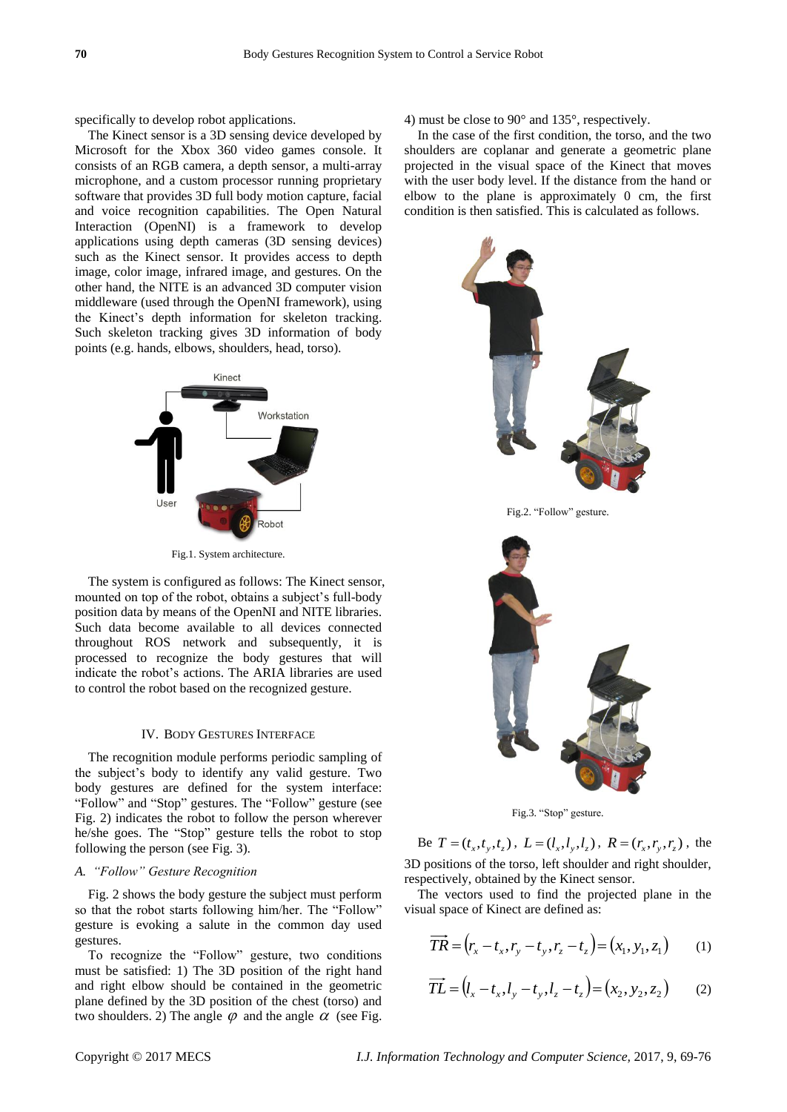specifically to develop robot applications.

The Kinect sensor is a 3D sensing device developed by Microsoft for the Xbox 360 video games console. It consists of an RGB camera, a depth sensor, a multi-array microphone, and a custom processor running proprietary software that provides 3D full body motion capture, facial and voice recognition capabilities. The Open Natural Interaction (OpenNI) is a framework to develop applications using depth cameras (3D sensing devices) such as the Kinect sensor. It provides access to depth image, color image, infrared image, and gestures. On the other hand, the NITE is an advanced 3D computer vision middleware (used through the OpenNI framework), using the Kinect's depth information for skeleton tracking. Such skeleton tracking gives 3D information of body points (e.g. hands, elbows, shoulders, head, torso).



Fig.1. System architecture.

The system is configured as follows: The Kinect sensor, mounted on top of the robot, obtains a subject's full-body position data by means of the OpenNI and NITE libraries. Such data become available to all devices connected throughout ROS network and subsequently, it is processed to recognize the body gestures that will indicate the robot's actions. The ARIA libraries are used to control the robot based on the recognized gesture.

#### IV. BODY GESTURES INTERFACE

The recognition module performs periodic sampling of the subject's body to identify any valid gesture. Two body gestures are defined for the system interface: "Follow" and "Stop" gestures. The "Follow" gesture (see Fig. 2) indicates the robot to follow the person wherever he/she goes. The "Stop" gesture tells the robot to stop following the person (see Fig. 3).

#### *A. "Follow" Gesture Recognition*

Fig. 2 shows the body gesture the subject must perform so that the robot starts following him/her. The "Follow" gesture is evoking a salute in the common day used gestures.

To recognize the "Follow" gesture, two conditions must be satisfied: 1) The 3D position of the right hand and right elbow should be contained in the geometric plane defined by the 3D position of the chest (torso) and two shoulders. 2) The angle  $\varphi$  and the angle  $\alpha$  (see Fig. 4) must be close to 90° and 135°, respectively.

In the case of the first condition, the torso, and the two shoulders are coplanar and generate a geometric plane projected in the visual space of the Kinect that moves with the user body level. If the distance from the hand or elbow to the plane is approximately 0 cm, the first condition is then satisfied. This is calculated as follows.



Fig.3. "Stop" gesture.

Be  $T = (t_x, t_y, t_z)$ ,  $L = (l_x, l_y, l_z)$ ,  $R = (r_x, r_y, r_z)$ , the 3D positions of the torso, left shoulder and right shoulder, respectively, obtained by the Kinect sensor.

The vectors used to find the projected plane in the visual space of Kinect are defined as:

$$
\overrightarrow{TR} = (r_x - t_x, r_y - t_y, r_z - t_z) = (x_1, y_1, z_1)
$$
 (1)

$$
\overrightarrow{TL} = (l_x - t_x, l_y - t_y, l_z - t_z) = (x_2, y_2, z_2) \tag{2}
$$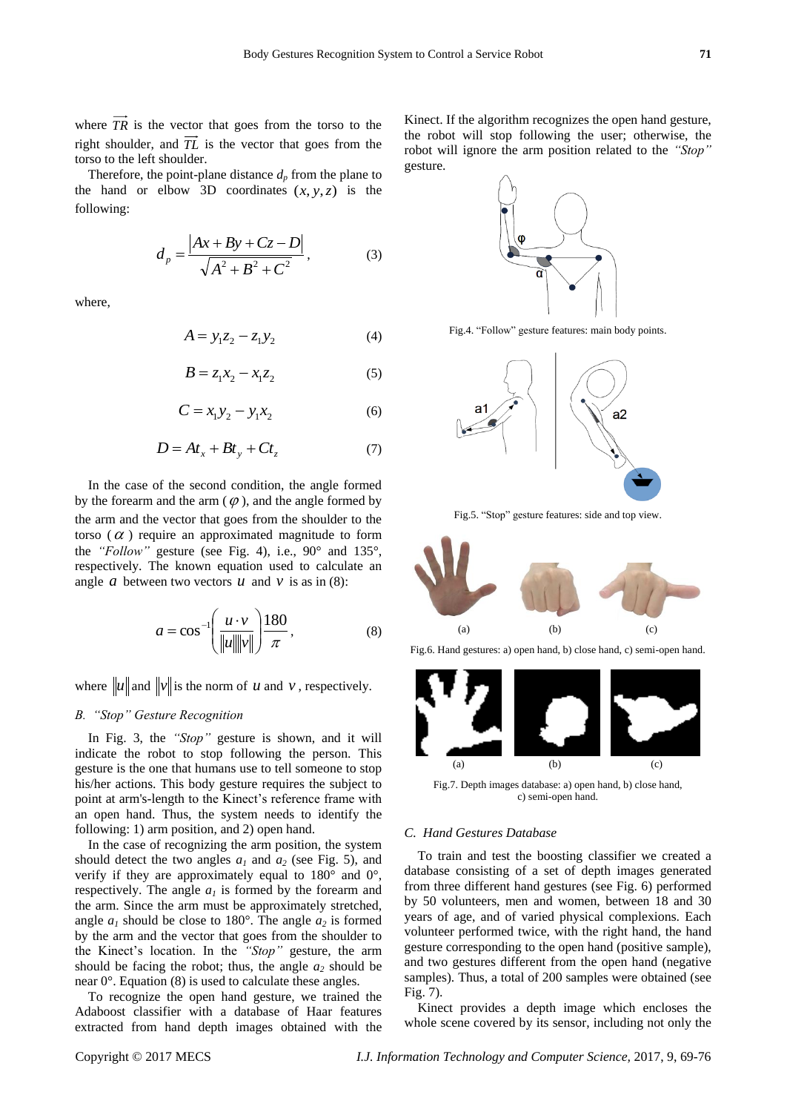where  $TR$  is the vector that goes from the torso to the right shoulder, and *TL* is the vector that goes from the torso to the left shoulder.

Therefore, the point-plane distance  $d_p$  from the plane to the hand or elbow 3D coordinates  $(x, y, z)$  is the following:

$$
d_p = \frac{|Ax + By + Cz - D|}{\sqrt{A^2 + B^2 + C^2}},
$$
\n(3)

where,

$$
A = y_1 z_2 - z_1 y_2 \tag{4}
$$

$$
B = z_1 x_2 - x_1 z_2 \tag{5}
$$

$$
C = x_1 y_2 - y_1 x_2 \tag{6}
$$

$$
D = At_x + Bt_y + Ct_z \tag{7}
$$

In the case of the second condition, the angle formed by the forearm and the arm  $(\varphi)$ , and the angle formed by the arm and the vector that goes from the shoulder to the torso ( $\alpha$ ) require an approximated magnitude to form the *"Follow"* gesture (see Fig. 4), i.e., 90° and 135°, respectively. The known equation used to calculate an angle *a* between two vectors  $u$  and  $v$  is as in (8):

$$
a = \cos^{-1}\left(\frac{u \cdot v}{\|u\| \|v\|}\right) \frac{180}{\pi},\tag{8}
$$

where  $\|u\|$  and  $\|v\|$  is the norm of u and v, respectively.

## *B. "Stop" Gesture Recognition*

In Fig. 3, the *"Stop"* gesture is shown, and it will indicate the robot to stop following the person. This gesture is the one that humans use to tell someone to stop his/her actions. This body gesture requires the subject to point at arm's-length to the Kinect's reference frame with an open hand. Thus, the system needs to identify the following: 1) arm position, and 2) open hand.

In the case of recognizing the arm position, the system should detect the two angles  $a_1$  and  $a_2$  (see Fig. 5), and verify if they are approximately equal to  $180^{\circ}$  and  $0^{\circ}$ , respectively. The angle  $a<sub>l</sub>$  is formed by the forearm and the arm. Since the arm must be approximately stretched, angle  $a_1$  should be close to 180 $\degree$ . The angle  $a_2$  is formed by the arm and the vector that goes from the shoulder to the Kinect's location. In the *"Stop"* gesture, the arm should be facing the robot; thus, the angle  $a_2$  should be near 0°. Equation (8) is used to calculate these angles.

To recognize the open hand gesture, we trained the Adaboost classifier with a database of Haar features extracted from hand depth images obtained with the Kinect. If the algorithm recognizes the open hand gesture, the robot will stop following the user; otherwise, the robot will ignore the arm position related to the *"Stop"* gesture.



Fig.4. "Follow" gesture features: main body points.



Fig.5. "Stop" gesture features: side and top view.



Fig.6. Hand gestures: a) open hand, b) close hand, c) semi-open hand.



Fig.7. Depth images database: a) open hand, b) close hand, c) semi-open hand.

## *C. Hand Gestures Database*

To train and test the boosting classifier we created a database consisting of a set of depth images generated from three different hand gestures (see Fig. 6) performed by 50 volunteers, men and women, between 18 and 30 years of age, and of varied physical complexions. Each volunteer performed twice, with the right hand, the hand gesture corresponding to the open hand (positive sample), and two gestures different from the open hand (negative samples). Thus, a total of 200 samples were obtained (see Fig. 7).

Kinect provides a depth image which encloses the whole scene covered by its sensor, including not only the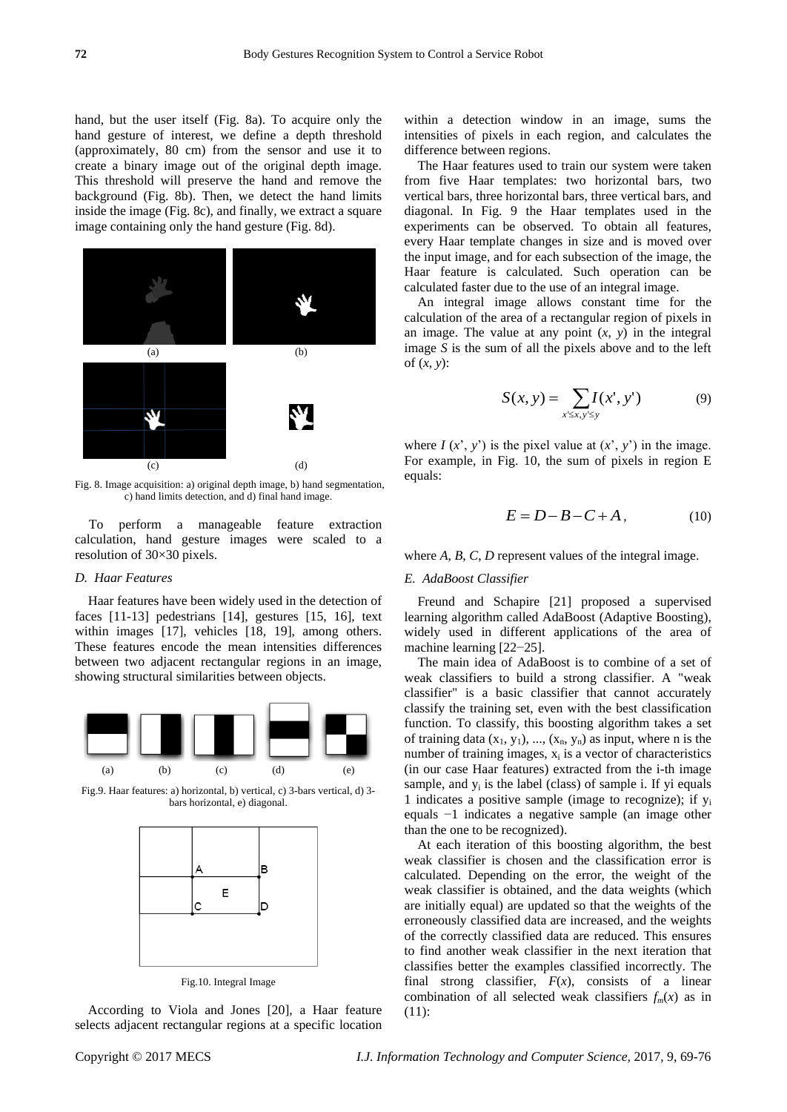hand, but the user itself (Fig. 8a). To acquire only the hand gesture of interest, we define a depth threshold (approximately, 80 cm) from the sensor and use it to create a binary image out of the original depth image. This threshold will preserve the hand and remove the background (Fig. 8b). Then, we detect the hand limits inside the image (Fig. 8c), and finally, we extract a square image containing only the hand gesture (Fig. 8d).



Fig. 8. Image acquisition: a) original depth image, b) hand segmentation, c) hand limits detection, and d) final hand image.

To perform a manageable feature extraction calculation, hand gesture images were scaled to a resolution of 30×30 pixels.

# *D. Haar Features*

Haar features have been widely used in the detection of faces [11-13] pedestrians [14], gestures [15, 16], text within images [17], vehicles [18, 19], among others. These features encode the mean intensities differences between two adjacent rectangular regions in an image, showing structural similarities between objects.



Fig.9. Haar features: a) horizontal, b) vertical, c) 3-bars vertical, d) 3 bars horizontal, e) diagonal.



Fig.10. Integral Image

According to Viola and Jones [20], a Haar feature selects adjacent rectangular regions at a specific location within a detection window in an image, sums the intensities of pixels in each region, and calculates the difference between regions.

The Haar features used to train our system were taken from five Haar templates: two horizontal bars, two vertical bars, three horizontal bars, three vertical bars, and diagonal. In Fig. 9 the Haar templates used in the experiments can be observed. To obtain all features, every Haar template changes in size and is moved over the input image, and for each subsection of the image, the Haar feature is calculated. Such operation can be calculated faster due to the use of an integral image.

An integral image allows constant time for the calculation of the area of a rectangular region of pixels in an image. The value at any point (*x*, *y*) in the integral image *S* is the sum of all the pixels above and to the left of (*x*, *y*):

$$
S(x, y) = \sum_{x' \le x, y' \le y} I(x', y')
$$
 (9)

where  $I(x', y')$  is the pixel value at  $(x', y')$  in the image. For example, in Fig. 10, the sum of pixels in region E equals:

$$
E = D - B - C + A, \tag{10}
$$

where *A*, *B*, *C*, *D* represent values of the integral image.

# *E. AdaBoost Classifier*

Freund and Schapire [21] proposed a supervised learning algorithm called AdaBoost (Adaptive Boosting), widely used in different applications of the area of machine learning [22−25].

The main idea of AdaBoost is to combine of a set of weak classifiers to build a strong classifier. A "weak classifier" is a basic classifier that cannot accurately classify the training set, even with the best classification function. To classify, this boosting algorithm takes a set of training data  $(x_1, y_1)$ , ...,  $(x_n, y_n)$  as input, where n is the number of training images,  $x_i$  is a vector of characteristics (in our case Haar features) extracted from the i-th image sample, and  $y_i$  is the label (class) of sample i. If  $yi$  equals 1 indicates a positive sample (image to recognize); if  $y_i$ equals −1 indicates a negative sample (an image other than the one to be recognized).

At each iteration of this boosting algorithm, the best weak classifier is chosen and the classification error is calculated. Depending on the error, the weight of the weak classifier is obtained, and the data weights (which are initially equal) are updated so that the weights of the erroneously classified data are increased, and the weights of the correctly classified data are reduced. This ensures to find another weak classifier in the next iteration that classifies better the examples classified incorrectly. The final strong classifier,  $F(x)$ , consists of a linear combination of all selected weak classifiers  $f_m(x)$  as in (11):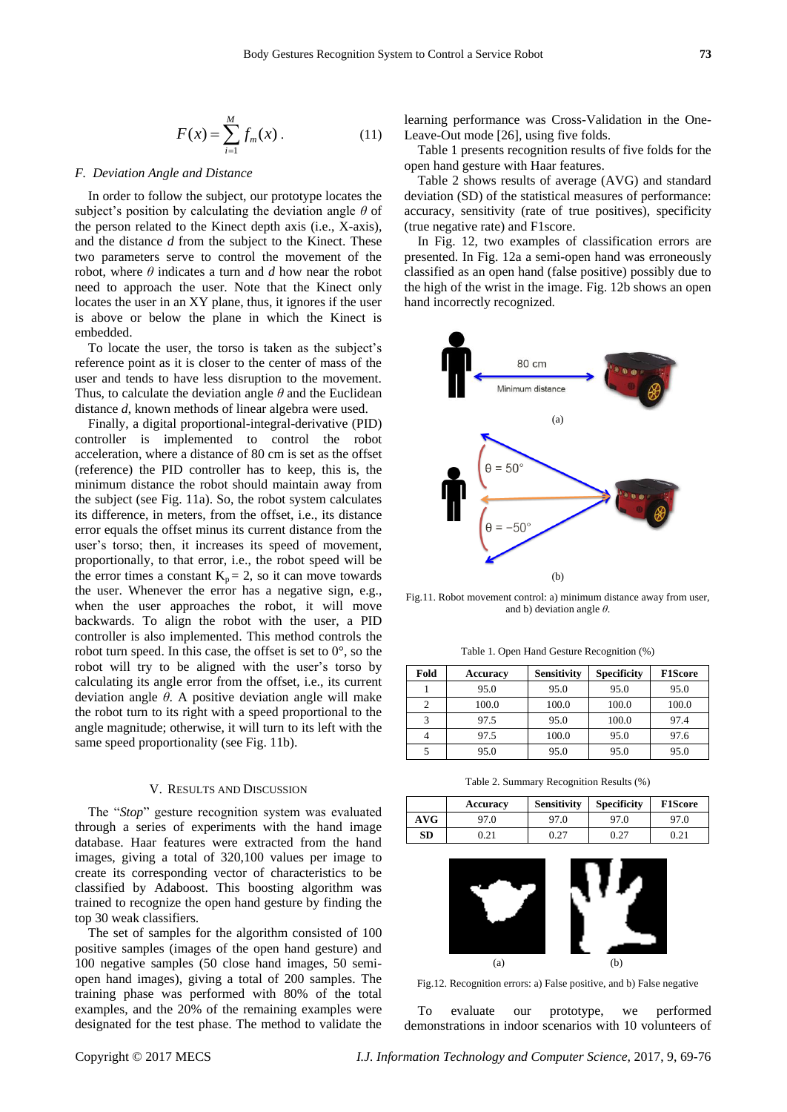$$
F(x) = \sum_{i=1}^{M} f_m(x).
$$
 (11)

#### *F. Deviation Angle and Distance*

In order to follow the subject, our prototype locates the subject's position by calculating the deviation angle *θ* of the person related to the Kinect depth axis (i.e., X-axis), and the distance *d* from the subject to the Kinect. These two parameters serve to control the movement of the robot, where  $\theta$  indicates a turn and  $d$  how near the robot need to approach the user. Note that the Kinect only locates the user in an XY plane, thus, it ignores if the user is above or below the plane in which the Kinect is embedded.

To locate the user, the torso is taken as the subject's reference point as it is closer to the center of mass of the user and tends to have less disruption to the movement. Thus, to calculate the deviation angle *θ* and the Euclidean distance *d*, known methods of linear algebra were used.

*Copyright Computer Computer Computer Computer Computer Computer Computer Computer Computer Computer Computer Computer Computer Computer Computer Computer Computer Computer Computer Computer Computer Computer Science Com* Finally, a digital proportional-integral-derivative (PID) controller is implemented to control the robot acceleration, where a distance of 80 cm is set as the offset (reference) the PID controller has to keep, this is, the minimum distance the robot should maintain away from the subject (see Fig. 11a). So, the robot system calculates its difference, in meters, from the offset, i.e., its distance error equals the offset minus its current distance from the user's torso; then, it increases its speed of movement, proportionally, to that error, i.e., the robot speed will be the error times a constant  $K_p = 2$ , so it can move towards the user. Whenever the error has a negative sign, e.g., when the user approaches the robot, it will move backwards. To align the robot with the user, a PID controller is also implemented. This method controls the robot turn speed. In this case, the offset is set to  $0^\circ$ , so the robot will try to be aligned with the user's torso by calculating its angle error from the offset, i.e., its current deviation angle *θ*. A positive deviation angle will make the robot turn to its right with a speed proportional to the angle magnitude; otherwise, it will turn to its left with the same speed proportionality (see Fig. 11b).

#### V. RESULTS AND DISCUSSION

The "*Stop*" gesture recognition system was evaluated through a series of experiments with the hand image database. Haar features were extracted from the hand images, giving a total of 320,100 values per image to create its corresponding vector of characteristics to be classified by Adaboost. This boosting algorithm was trained to recognize the open hand gesture by finding the top 30 weak classifiers.

The set of samples for the algorithm consisted of 100 positive samples (images of the open hand gesture) and 100 negative samples (50 close hand images, 50 semiopen hand images), giving a total of 200 samples. The training phase was performed with 80% of the total examples, and the 20% of the remaining examples were designated for the test phase. The method to validate the learning performance was Cross-Validation in the One-Leave-Out mode [26], using five folds.

Table 1 presents recognition results of five folds for the open hand gesture with Haar features.

Table 2 shows results of average (AVG) and standard deviation (SD) of the statistical measures of performance: accuracy, sensitivity (rate of true positives), specificity (true negative rate) and F1score.

In Fig. 12, two examples of classification errors are presented. In Fig. 12a a semi-open hand was erroneously classified as an open hand (false positive) possibly due to the high of the wrist in the image. Fig. 12b shows an open hand incorrectly recognized.



Fig.11. Robot movement control: a) minimum distance away from user, and b) deviation angle *θ*.

Table 1. Open Hand Gesture Recognition (%)

| Fold | <b>Accuracy</b> | <b>Sensitivity</b> | <b>Specificity</b> | <b>F1Score</b> |
|------|-----------------|--------------------|--------------------|----------------|
|      | 95.0            | 95.0               | 95.0               | 95.0           |
|      | 100.0           | 100.0              | 100.0              | 100.0          |
| 3    | 97.5            | 95.0               | 100.0              | 97.4           |
|      | 97.5            | 100.0              | 95.0               | 97.6           |
|      | 95.0            | 95.0               | 95.0               | 95.0           |

Table 2. Summary Recognition Results (%)

|     | Accuracy | <b>Sensitivity</b> | <b>Specificity</b> | <b>F1Score</b> |
|-----|----------|--------------------|--------------------|----------------|
| AVG | 97.0     | 97.0               | 97.0               | 97.0           |
| SD  | ).21     | 0.27               | 0.27               | 0.21           |



Fig.12. Recognition errors: a) False positive, and b) False negative

To evaluate our prototype, we performed demonstrations in indoor scenarios with 10 volunteers of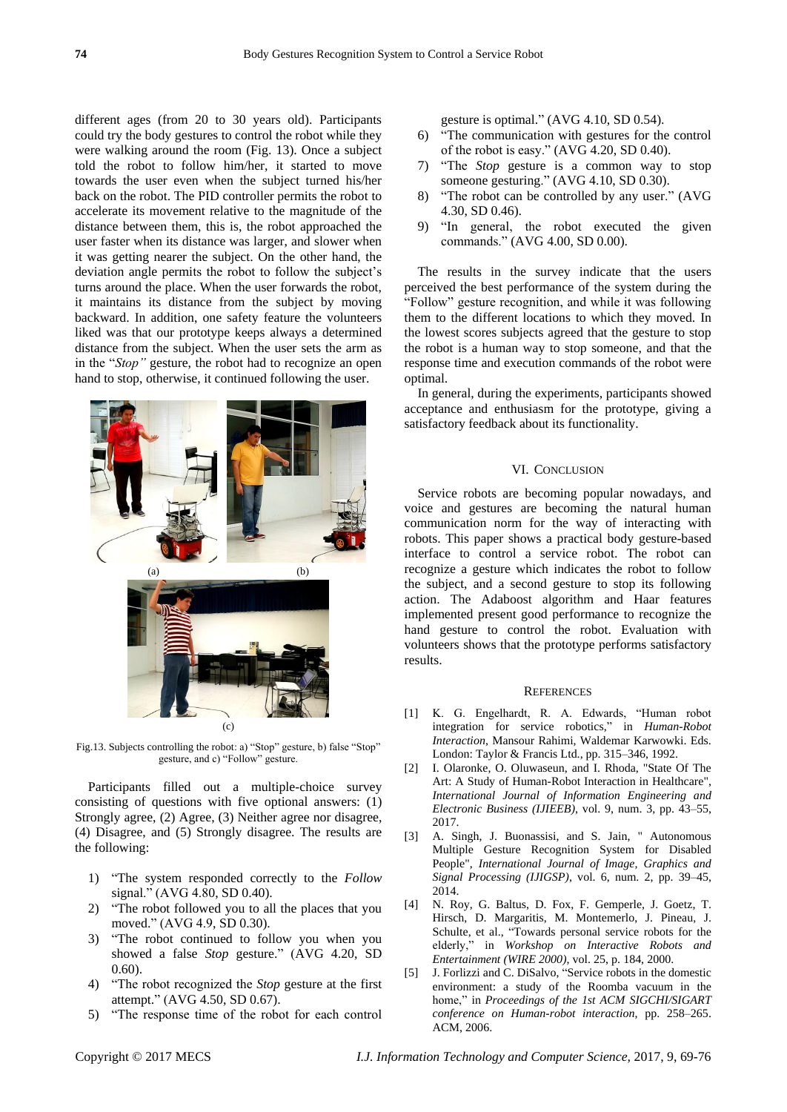different ages (from 20 to 30 years old). Participants could try the body gestures to control the robot while they were walking around the room (Fig. 13). Once a subject told the robot to follow him/her, it started to move towards the user even when the subject turned his/her back on the robot. The PID controller permits the robot to accelerate its movement relative to the magnitude of the distance between them, this is, the robot approached the user faster when its distance was larger, and slower when it was getting nearer the subject. On the other hand, the deviation angle permits the robot to follow the subject's turns around the place. When the user forwards the robot, it maintains its distance from the subject by moving backward. In addition, one safety feature the volunteers liked was that our prototype keeps always a determined distance from the subject. When the user sets the arm as in the "*Stop"* gesture, the robot had to recognize an open hand to stop, otherwise, it continued following the user.



Fig.13. Subjects controlling the robot: a) "Stop" gesture, b) false "Stop" gesture, and c) "Follow" gesture.

Participants filled out a multiple-choice survey consisting of questions with five optional answers: (1) Strongly agree, (2) Agree, (3) Neither agree nor disagree, (4) Disagree, and (5) Strongly disagree. The results are the following:

- 1) "The system responded correctly to the *Follow* signal." (AVG 4.80, SD 0.40).
- 2) "The robot followed you to all the places that you moved." (AVG 4.9, SD 0.30).
- 3) "The robot continued to follow you when you showed a false *Stop* gesture." (AVG 4.20, SD 0.60).
- 4) "The robot recognized the *Stop* gesture at the first attempt." (AVG 4.50, SD 0.67).
- 5) "The response time of the robot for each control

gesture is optimal." (AVG 4.10, SD 0.54).

- 6) "The communication with gestures for the control of the robot is easy." (AVG 4.20, SD 0.40).
- 7) "The *Stop* gesture is a common way to stop someone gesturing." (AVG 4.10, SD 0.30).
- 8) "The robot can be controlled by any user." (AVG 4.30, SD 0.46).
- 9) "In general, the robot executed the given commands." (AVG 4.00, SD 0.00).

The results in the survey indicate that the users perceived the best performance of the system during the "Follow" gesture recognition, and while it was following them to the different locations to which they moved. In the lowest scores subjects agreed that the gesture to stop the robot is a human way to stop someone, and that the response time and execution commands of the robot were optimal.

In general, during the experiments, participants showed acceptance and enthusiasm for the prototype, giving a satisfactory feedback about its functionality.

## VI. CONCLUSION

Service robots are becoming popular nowadays, and voice and gestures are becoming the natural human communication norm for the way of interacting with robots. This paper shows a practical body gesture-based interface to control a service robot. The robot can recognize a gesture which indicates the robot to follow the subject, and a second gesture to stop its following action. The Adaboost algorithm and Haar features implemented present good performance to recognize the hand gesture to control the robot. Evaluation with volunteers shows that the prototype performs satisfactory results.

#### **REFERENCES**

- [1] K. G. Engelhardt, R. A. Edwards, "Human robot integration for service robotics," in *Human-Robot Interaction*, Mansour Rahimi, Waldemar Karwowki. Eds. London: Taylor & Francis Ltd., pp. 315–346, 1992.
- [2] I. Olaronke, O. Oluwaseun, and I. Rhoda, "State Of The Art: A Study of Human-Robot Interaction in Healthcare", *International Journal of Information Engineering and Electronic Business (IJIEEB)*, vol. 9, num. 3, pp. 43–55, 2017.
- [3] A. Singh, J. Buonassisi, and S. Jain, " Autonomous Multiple Gesture Recognition System for Disabled People", *International Journal of Image, Graphics and Signal Processing (IJIGSP)*, vol. 6, num. 2, pp. 39–45, 2014.
- [4] N. Roy, G. Baltus, D. Fox, F. Gemperle, J. Goetz, T. Hirsch, D. Margaritis, M. Montemerlo, J. Pineau, J. Schulte, et al., "Towards personal service robots for the elderly," in *Workshop on Interactive Robots and Entertainment (WIRE 2000)*, vol. 25, p. 184, 2000.
- [5] J. Forlizzi and C. DiSalvo, "Service robots in the domestic environment: a study of the Roomba vacuum in the home," in *Proceedings of the 1st ACM SIGCHI/SIGART conference on Human-robot interaction*, pp. 258–265. ACM, 2006.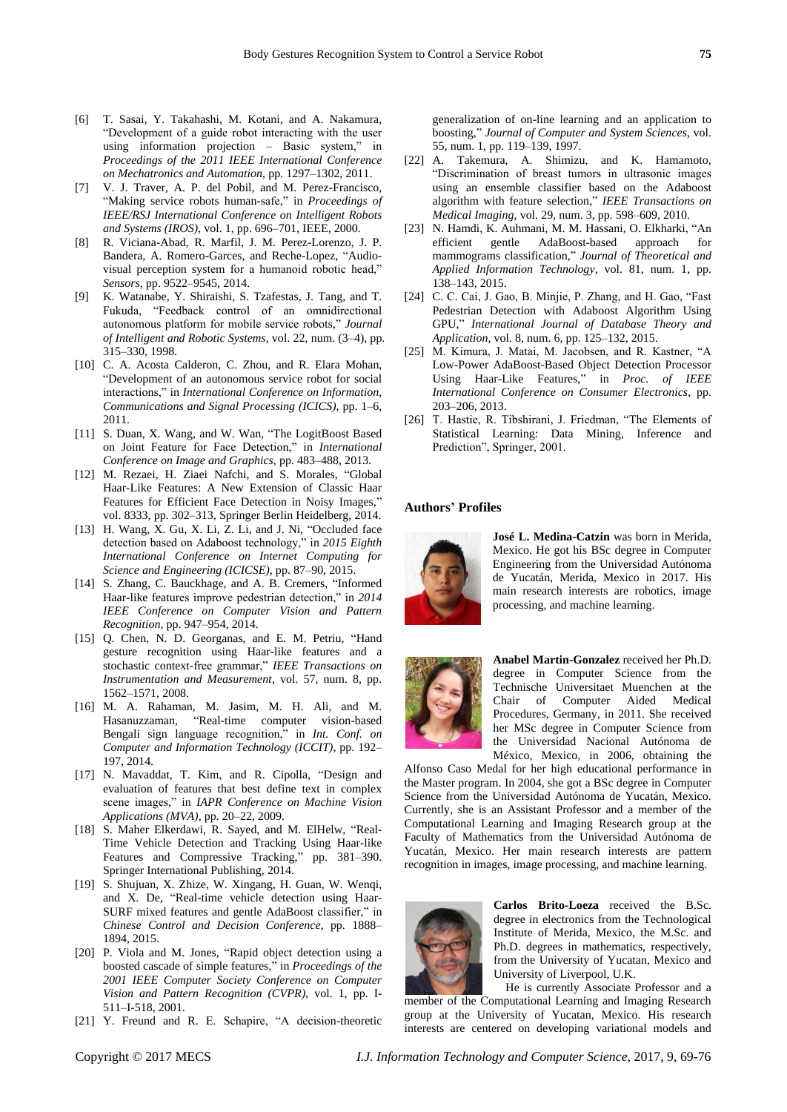- [6] T. Sasai, Y. Takahashi, M. Kotani, and A. Nakamura, "Development of a guide robot interacting with the user using information projection – Basic system," in *Proceedings of the 2011 IEEE International Conference on Mechatronics and Automation*, pp. 1297–1302, 2011.
- [7] V. J. Traver, A. P. del Pobil, and M. Perez-Francisco, "Making service robots human-safe," in *Proceedings of IEEE/RSJ International Conference on Intelligent Robots and Systems (IROS)*, vol. 1, pp. 696–701, IEEE, 2000.
- [8] R. Viciana-Abad, R. Marfil, J. M. Perez-Lorenzo, J. P. Bandera, A. Romero-Garces, and Reche-Lopez, "Audiovisual perception system for a humanoid robotic head," *Sensors*, pp. 9522–9545, 2014.
- [9] K. Watanabe, Y. Shiraishi, S. Tzafestas, J. Tang, and T. Fukuda, "Feedback control of an omnidirectional autonomous platform for mobile service robots," *Journal of Intelligent and Robotic Systems*, vol. 22, num. (3–4), pp. 315–330, 1998.
- [10] C. A. Acosta Calderon, C. Zhou, and R. Elara Mohan, "Development of an autonomous service robot for social interactions," in *International Conference on Information, Communications and Signal Processing (ICICS)*, pp. 1–6, 2011.
- [11] S. Duan, X. Wang, and W. Wan, "The LogitBoost Based on Joint Feature for Face Detection," in *International Conference on Image and Graphics*, pp. 483–488, 2013.
- [12] M. Rezaei, H. Ziaei Nafchi, and S. Morales, "Global Haar-Like Features: A New Extension of Classic Haar Features for Efficient Face Detection in Noisy Images," vol. 8333, pp. 302–313, Springer Berlin Heidelberg, 2014.
- [13] H. Wang, X. Gu, X. Li, Z. Li, and J. Ni, "Occluded face detection based on Adaboost technology," in *2015 Eighth International Conference on Internet Computing for Science and Engineering (ICICSE)*, pp. 87–90, 2015.
- [14] S. Zhang, C. Bauckhage, and A. B. Cremers, "Informed Haar-like features improve pedestrian detection," in *2014 IEEE Conference on Computer Vision and Pattern Recognition*, pp. 947–954, 2014.
- [15] Q. Chen, N. D. Georganas, and E. M. Petriu, "Hand gesture recognition using Haar-like features and a stochastic context-free grammar," *IEEE Transactions on Instrumentation and Measurement*, vol. 57, num. 8, pp. 1562–1571, 2008.
- [16] M. A. Rahaman, M. Jasim, M. H. Ali, and M. Hasanuzzaman, "Real-time computer vision-based Bengali sign language recognition," in *Int. Conf. on Computer and Information Technology (ICCIT)*, pp. 192– 197, 2014.
- [17] N. Mavaddat, T. Kim, and R. Cipolla, "Design and evaluation of features that best define text in complex scene images," in *IAPR Conference on Machine Vision Applications (MVA)*, pp. 20–22, 2009.
- [18] S. Maher Elkerdawi, R. Sayed, and M. ElHelw, "Real-Time Vehicle Detection and Tracking Using Haar-like Features and Compressive Tracking," pp. 381–390. Springer International Publishing, 2014.
- [19] S. Shujuan, X. Zhize, W. Xingang, H. Guan, W. Wenqi, and X. De, "Real-time vehicle detection using Haar-SURF mixed features and gentle AdaBoost classifier," in *Chinese Control and Decision Conference*, pp. 1888– 1894, 2015.
- [20] P. Viola and M. Jones, "Rapid object detection using a boosted cascade of simple features," in *Proceedings of the 2001 IEEE Computer Society Conference on Computer Vision and Pattern Recognition (CVPR)*, vol. 1, pp. I-511–I-518, 2001.
- [21] Y. Freund and R. E. Schapire, "A decision-theoretic

generalization of on-line learning and an application to boosting," *Journal of Computer and System Sciences*, vol. 55, num. 1, pp. 119–139, 1997.

- [22] A. Takemura, A. Shimizu, and K. Hamamoto, "Discrimination of breast tumors in ultrasonic images using an ensemble classifier based on the Adaboost algorithm with feature selection," *IEEE Transactions on Medical Imaging*, vol. 29, num. 3, pp. 598–609, 2010.
- [23] N. Hamdi, K. Auhmani, M. M. Hassani, O. Elkharki, "An efficient gentle AdaBoost-based approach for mammograms classification," *Journal of Theoretical and Applied Information Technology*, vol. 81, num. 1, pp. 138–143, 2015.
- [24] C. C. Cai, J. Gao, B. Minjie, P. Zhang, and H. Gao, "Fast Pedestrian Detection with Adaboost Algorithm Using GPU," *International Journal of Database Theory and Application*, vol. 8, num. 6, pp. 125–132, 2015.
- [25] M. Kimura, J. Matai, M. Jacobsen, and R. Kastner, "A Low-Power AdaBoost-Based Object Detection Processor Using Haar-Like Features," in *Proc. of IEEE International Conference on Consumer Electronics*, pp. 203–206, 2013.
- [26] T. Hastie, R. Tibshirani, J. Friedman, "The Elements of Statistical Learning: Data Mining, Inference and Prediction", Springer, 2001.

#### **Authors' Profiles**



**José L. Medina-Catzin** was born in Merida, Mexico. He got his BSc degree in Computer Engineering from the Universidad Autónoma de Yucatán, Merida, Mexico in 2017. His main research interests are robotics, image processing, and machine learning.



**Anabel Martin-Gonzalez** received her Ph.D. degree in Computer Science from the Technische Universitaet Muenchen at the Chair of Computer Aided Medical Procedures, Germany, in 2011. She received her MSc degree in Computer Science from the Universidad Nacional Autónoma de México, Mexico, in 2006, obtaining the

Alfonso Caso Medal for her high educational performance in the Master program. In 2004, she got a BSc degree in Computer Science from the Universidad Autónoma de Yucatán, Mexico. Currently, she is an Assistant Professor and a member of the Computational Learning and Imaging Research group at the Faculty of Mathematics from the Universidad Autónoma de Yucatán, Mexico. Her main research interests are pattern recognition in images, image processing, and machine learning.



**Carlos Brito-Loeza** received the B.Sc. degree in electronics from the Technological Institute of Merida, Mexico, the M.Sc. and Ph.D. degrees in mathematics, respectively, from the University of Yucatan, Mexico and University of Liverpool, U.K.

He is currently Associate Professor and a member of the Computational Learning and Imaging Research group at the University of Yucatan, Mexico. His research interests are centered on developing variational models and